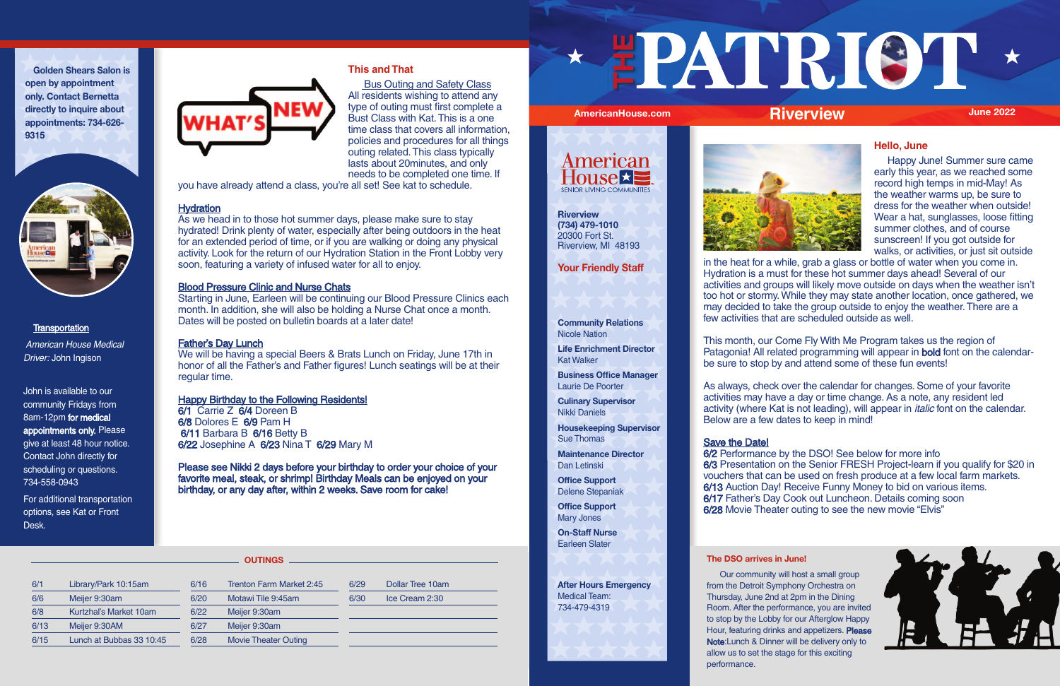## **This and That**

 Bus Outing and Safety Class All residents wishing to attend any type of outing must first complete a Bust Class with Kat. This is a one time class that covers all information, policies and procedures for all things outing related. This class typically lasts about 20minutes, and only needs to be completed one time. If

you have already attend a class, you're all set! See kat to schedule.

### **Hydration**

Starting in June, Earleen will be continuing our Blood Pressure Clinics each month. In addition, she will also be holding a Nurse Chat once a month. Dates will be posted on bulletin boards at a later date!

As we head in to those hot summer days, please make sure to stay hydrated! Drink plenty of water, especially after being outdoors in the heat for an extended period of time, or if you are walking or doing any physical activity. Look for the return of our Hydration Station in the Front Lobby very soon, featuring a variety of infused water for all to enjoy.

# Blood Pressure Clinic and Nurse Chats

## Father's Day Lunch

We will be having a special Beers & Brats Lunch on Friday, June 17th in honor of all the Father's and Father figures! Lunch seatings will be at their regular time.

### Happy Birthday to the Following Residents!

6/1 Carrie Z 6/4 Doreen B 6/8 Dolores E 6/9 Pam H 6/11 Barbara B 6/16 Betty B 6/22 Josephine A 6/23 Nina T 6/29 Mary M

Please see Nikki 2 days before your birthday to order your choice of your favorite meal, steak, or shrimp! Birthday Meals can be enjoyed on your birthday, or any day after, within 2 weeks. Save room for cake!

# **Hello, June**

 Happy June! Summer sure came early this year, as we reached some record high temps in mid-May! As the weather warms up, be sure to dress for the weather when outside! Wear a hat, sunglasses, loose fitting summer clothes, and of course sunscreen! If you got outside for walks, or activities, or just sit outside



in the heat for a while, grab a glass or bottle of water when you come in. Hydration is a must for these hot summer days ahead! Several of our activities and groups will likely move outside on days when the weather isn't too hot or stormy. While they may state another location, once gathered, we may decided to take the group outside to enjoy the weather. There are a few activities that are scheduled outside as well.

This month, our Come Fly With Me Program takes us the region of Patagonia! All related programming will appear in **bold** font on the calendarbe sure to stop by and attend some of these fun events!

As always, check over the calendar for changes. Some of your favorite activities may have a day or time change. As a note, any resident led activity (where Kat is not leading), will appear in *italic* font on the calendar. Below are a few dates to keep in mind!

# Save the Date!

6/2 Performance by the DSO! See below for more info 6/3 Presentation on the Senior FRESH Project-learn if you qualify for \$20 in vouchers that can be used on fresh produce at a few local farm markets. 6/13 Auction Day! Receive Funny Money to bid on various items. 6/17 Father's Day Cook out Luncheon. Details coming soon 6/28 Movie Theater outing to see the new movie "Elvis"

American House Medical Driver: John Ingison

John is available to our community Fridays from 8am-12pm for medical appointments only. Please give at least 48 hour notice. Contact John directly for scheduling or questions. 734-558-0943

For additional transportation options, see Kat or Front Desk.

**Golden Shears Salon is open by appointment only. Contact Bernetta directly to inquire about appointments: 734-626- 9315**



### **Transportation**

# **The DSO arrives in June!**

 Our community will host a small group from the Detroit Symphony Orchestra on Thursday, June 2nd at 2pm in the Dining Room. After the performance, you are invited to stop by the Lobby for our Afterglow Happy Hour, featuring drinks and appetizers. Please Note:Lunch & Dinner will be delivery only to allow us to set the stage for this exciting performance.

**Your Friendly Staff**

**Community Relations** Nicole Nation

**Life Enrichment Director** Kat Walker

**Business Office Manager** Laurie De Poorter

**Culinary Supervisor** Nikki Daniels

**Housekeeping Supervisor** Sue Thomas

**Maintenance Director** Dan Letinski

**Office Support** Delene Stepaniak

**Office Support** Mary Jones

**On-Staff Nurse** Earleen Slater

## **After Hours Emergency** Medical Team: 734-479-4319

| 6/1  | Library/Park 10:15am     |
|------|--------------------------|
| 6/6  | Meijer 9:30am            |
| 6/8  | Kurtzhal's Market 10am   |
| 6/13 | Meijer 9:30AM            |
| 6/15 | Lunch at Bubbas 33 10:45 |

6/16 Trenton Farm Market 2:45 6/20 Motawi Tile 9:45am 6/22 Meijer 9:30am 6/27 Meijer 9:30am

6/28 Movie Theater Outing

6/29 Dollar Tree 10am 6/30 Ice Cream 2:30

# **THE**



### **OUTINGS**





**Riverview (734) 479-1010** 20300 Fort St. Riverview, MI 48193